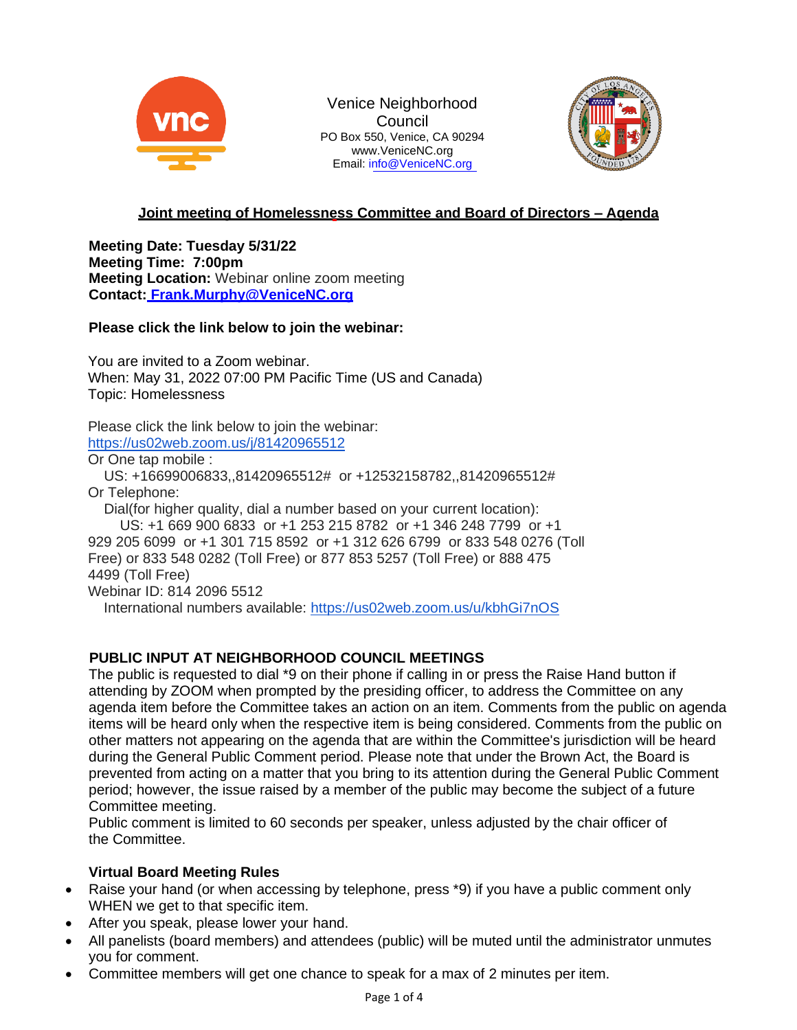

Venice Neighborhood **Council** PO Box 550, Venice, CA 9029[4](http://www.venicenc.org/) [www.VeniceNC.org](http://www.venicenc.org/) Email: [info@VeniceNC.org](mailto:info@VeniceNC.org)



# **Joint meeting of Homelessness Committee and Board of Directors – Agenda**

**Meeting Date: Tuesday 5/31/22 Meeting Time: 7:00pm Meeting Location:** Webinar online zoom meeting **Contact: [Frank.Murphy@VeniceNC.org](mailto:Frank.Murphy@VeniceNC.org)**

## **Please click the link below to join the webinar:**

You are invited to a Zoom webinar. When: May 31, 2022 07:00 PM Pacific Time (US and Canada) Topic: Homelessness

Please click the link below to join the webinar: <https://us02web.zoom.us/j/81420965512>

Or One tap mobile :

US: +16699006833,,81420965512# or +12532158782,,81420965512# Or Telephone:

Dial(for higher quality, dial a number based on your current location): US: +1 669 900 6833 or +1 253 215 8782 or +1 346 248 7799 or +1 929 205 6099 or +1 301 715 8592 or +1 312 626 6799 or 833 548 0276 (Toll Free) or 833 548 0282 (Toll Free) or 877 853 5257 (Toll Free) or 888 475 4499 (Toll Free)

Webinar ID: 814 2096 5512

International numbers available: <https://us02web.zoom.us/u/kbhGi7nOS>

## **PUBLIC INPUT AT NEIGHBORHOOD COUNCIL MEETINGS**

The public is requested to dial \*9 on their phone if calling in or press the Raise Hand button if attending by ZOOM when prompted by the presiding officer, to address the Committee on any agenda item before the Committee takes an action on an item. Comments from the public on agenda items will be heard only when the respective item is being considered. Comments from the public on other matters not appearing on the agenda that are within the Committee's jurisdiction will be heard during the General Public Comment period. Please note that under the Brown Act, the Board is prevented from acting on a matter that you bring to its attention during the General Public Comment period; however, the issue raised by a member of the public may become the subject of a future Committee meeting.

Public comment is limited to 60 seconds per speaker, unless adjusted by the chair officer of the Committee.

## **Virtual Board Meeting Rules**

- Raise your hand (or when accessing by telephone, press \*9) if you have a public comment only WHEN we get to that specific item.
- After you speak, please lower your hand.
- All panelists (board members) and attendees (public) will be muted until the administrator unmutes you for comment.
- Committee members will get one chance to speak for a max of 2 minutes per item.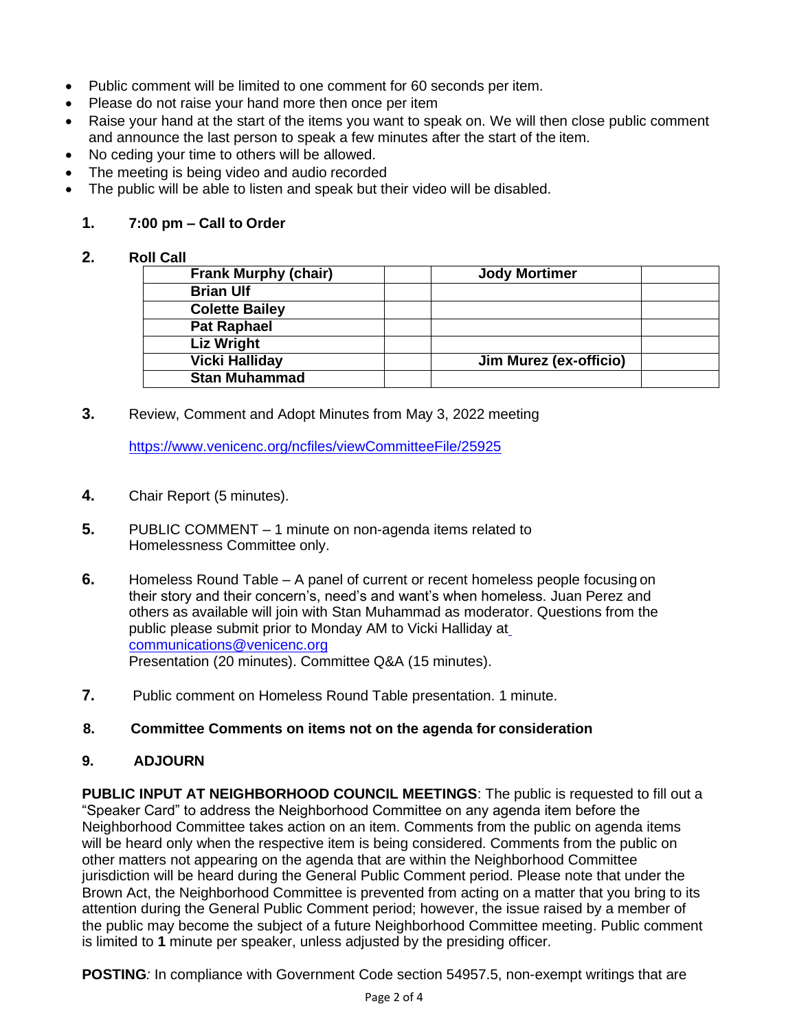- Public comment will be limited to one comment for 60 seconds per item.
- Please do not raise your hand more then once per item
- Raise your hand at the start of the items you want to speak on. We will then close public comment and announce the last person to speak a few minutes after the start of the item.
- No ceding your time to others will be allowed.
- The meeting is being video and audio recorded
- The public will be able to listen and speak but their video will be disabled.

# **1. 7:00 pm – Call to Order**

#### **2. Roll Call**

| <b>Frank Murphy (chair)</b> | <b>Jody Mortimer</b>          |
|-----------------------------|-------------------------------|
| <b>Brian Ulf</b>            |                               |
| <b>Colette Bailey</b>       |                               |
| <b>Pat Raphael</b>          |                               |
| <b>Liz Wright</b>           |                               |
| <b>Vicki Halliday</b>       | <b>Jim Murez (ex-officio)</b> |
| <b>Stan Muhammad</b>        |                               |

**3.** Review, Comment and Adopt Minutes from May 3, 2022 meeting

https:/[/www.venicenc.org/ncfiles/viewCommitteeFile/25925](http://www.venicenc.org/ncfiles/viewCommitteeFile/25925)

- **4.** Chair Report (5 minutes).
- **5.** PUBLIC COMMENT 1 minute on non-agenda items related to Homelessness Committee only.
- **6.** Homeless Round Table A panel of current or recent homeless people focusing on their story and their concern's, need's and want's when homeless. Juan Perez and others as available will join with Stan Muhammad as moderator. Questions from the public please submit prior to Monday AM to Vicki Halliday at [communications@venicenc.org](mailto:communications@venicenc.org) Presentation (20 minutes). Committee Q&A (15 minutes).
- **7.** Public comment on Homeless Round Table presentation. 1 minute.

## **8. Committee Comments on items not on the agenda for consideration**

## **9. ADJOURN**

**PUBLIC INPUT AT NEIGHBORHOOD COUNCIL MEETINGS**: The public is requested to fill out a "Speaker Card" to address the Neighborhood Committee on any agenda item before the Neighborhood Committee takes action on an item. Comments from the public on agenda items will be heard only when the respective item is being considered. Comments from the public on other matters not appearing on the agenda that are within the Neighborhood Committee jurisdiction will be heard during the General Public Comment period. Please note that under the Brown Act, the Neighborhood Committee is prevented from acting on a matter that you bring to its attention during the General Public Comment period; however, the issue raised by a member of the public may become the subject of a future Neighborhood Committee meeting. Public comment is limited to **1** minute per speaker, unless adjusted by the presiding officer.

**POSTING***:* In compliance with Government Code section 54957.5, non-exempt writings that are